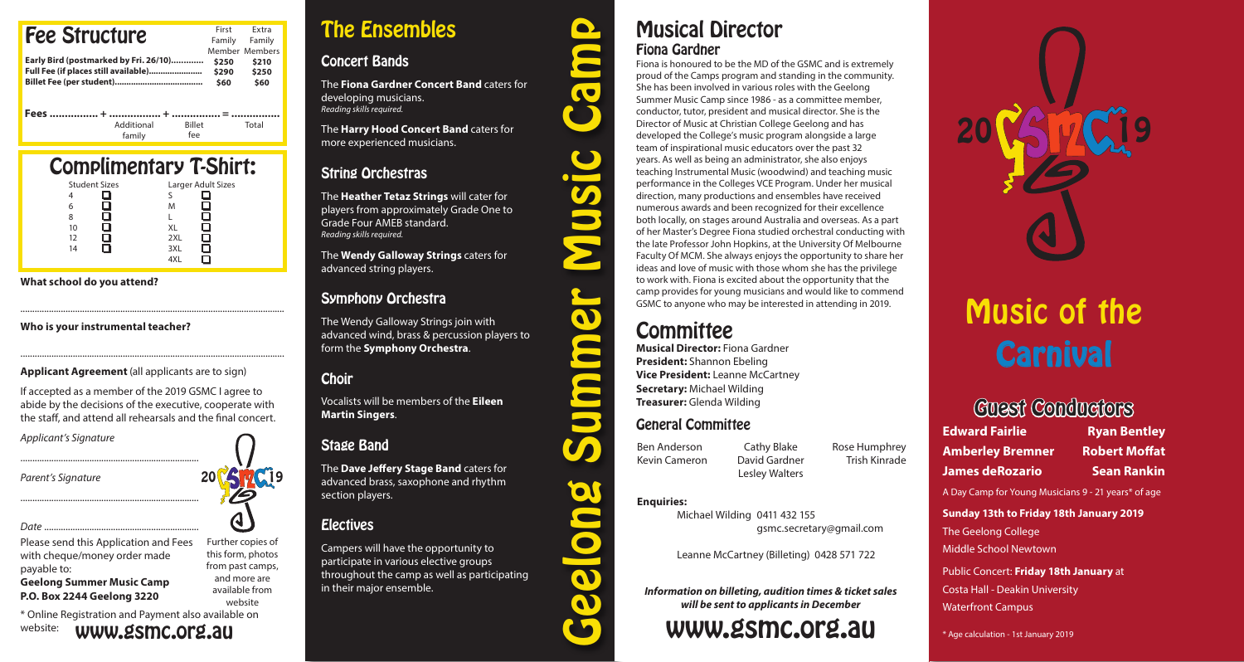| <b>Fee Structure</b><br>Early Bird (postmarked by Fri. 26/10)<br>Full Fee (if places still available) | First<br>Family<br>\$250<br>\$290<br>\$60 | <b>Fxtra</b><br>Family<br>Member Members<br>\$210<br>\$250<br>\$60 |
|-------------------------------------------------------------------------------------------------------|-------------------------------------------|--------------------------------------------------------------------|
| Additional<br><b>Billet</b><br>fee<br>family                                                          |                                           | Total                                                              |

|                      | <b>Complimentary T-Shirt:</b> |
|----------------------|-------------------------------|
| <b>Student Sizes</b> | Larger Adult Sizes            |
| 4                    |                               |
| 6                    | M                             |
| 8                    |                               |
| 10                   | XL                            |
| 12                   | 2XL                           |
| 14                   | 3XL                           |
|                      |                               |

**What school do you attend?**

### **Who is your instrumental teacher?**

**Applicant Agreement** (all applicants are to sign)

If accepted as a member of the 2019 GSMC I agree to abide by the decisions of the executive, cooperate with the staff, and attend all rehearsals and the final concert.

...............................................................................................................

...............................................................................................................

*Applicant's Signature*

*Parent's Signature*



Please send this Application and Fees with cheque/money order made payable to: **Geelong Summer Music Camp**

...........................................................................

...........................................................................

**P.O. Box 2244 Geelong 3220**

\* Online Registration and Payment also available on website: www.gsmc.org.au

# The Ensembles

## Concert Bands

The **Fiona Gardner Concert Band** caters for developing musicians. *Reading skills required.*

The **Harry Hood Concert Band** caters for more experienced musicians.

# String Orchestras

The **Heather Tetaz Strings** will cater for players from approximately Grade One to Grade Four AMEB standard. *Reading skills required.*

The **Wendy Galloway Strings** caters for advanced string players.

## Symphony Orchestra

The Wendy Galloway Strings join with advanced wind, brass & percussion players to form the **Symphony Orchestra**.

## **Choir**

Vocalists will be members of the **Eileen Martin Singers**.

## Stage Band

The **Dave Jeffery Stage Band** caters for advanced brass, saxophone and rhythm section players.

## **Electives**

Campers will have the opportunity to participate in various elective groups throughout the camp as well as participating in their major ensemble.

# Musical Director Fiona Gardner

Fiona is honoured to be the MD of the GSMC and is extremely proud of the Camps program and standing in the community. She has been involved in various roles with the Geelong Summer Music Camp since 1986 - as a committee member, conductor, tutor, president and musical director. She is the Director of Music at Christian College Geelong and has developed the College's music program alongside a large team of inspirational music educators over the past 32 years. As well as being an administrator, she also enjoys teaching Instrumental Music (woodwind) and teaching music performance in the Colleges VCE Program. Under her musical direction, many productions and ensembles have received numerous awards and been recognized for their excellence both locally, on stages around Australia and overseas. As a part of her Master's Degree Fiona studied orchestral conducting with the late Professor John Hopkins, at the University Of Melbourne Faculty Of MCM. She always enjoys the opportunity to share her ideas and love of music with those whom she has the privilege to work with. Fiona is excited about the opportunity that the camp provides for young musicians and would like to commend GSMC to anyone who may be interested in attending in 2019.

# **Committee**

Geelong Summer Music Camp

Q

 $\bullet$ 

 $\bullet$ 

**CO** 

 $\boldsymbol{\mathcal{G}}$ 

**Musical Director:** Fiona Gardner **President:** Shannon Ebeling **Vice President:** Leanne McCartney **Secretary:** Michael Wilding **Treasurer:** Glenda Wilding

### General Committee

Ben Anderson Kevin Cameron Cathy Blake David Gardner

Lesley Walters Trish Kinrade

Rose Humphrey

### **Enquiries:**

Michael Wilding 0411 432 155 gsmc.secretary@gmail.com

Leanne McCartney (Billeting) 0428 571 722

*Information on billeting, audition times & ticket sales will be sent to applicants in December*

# www.gsmc.org.au

# Music of the **Carnival**

# Guest Conductors

**Edward Fairlie Ryan Bentley Amberley Bremner Robert Moffat**

**James deRozario Sean Rankin**

A Day Camp for Young Musicians 9 - 21 years\* of age

### **Sunday 13th to Friday 18th January 2019**

The Geelong College

Middle School Newtown

Public Concert: **Friday 18th January** at Costa Hall - Deakin University Waterfront Campus

\* Age calculation - 1st January 2019

Further copies of this form, photos from past camps, and more are

> available from website

20 VS HG19